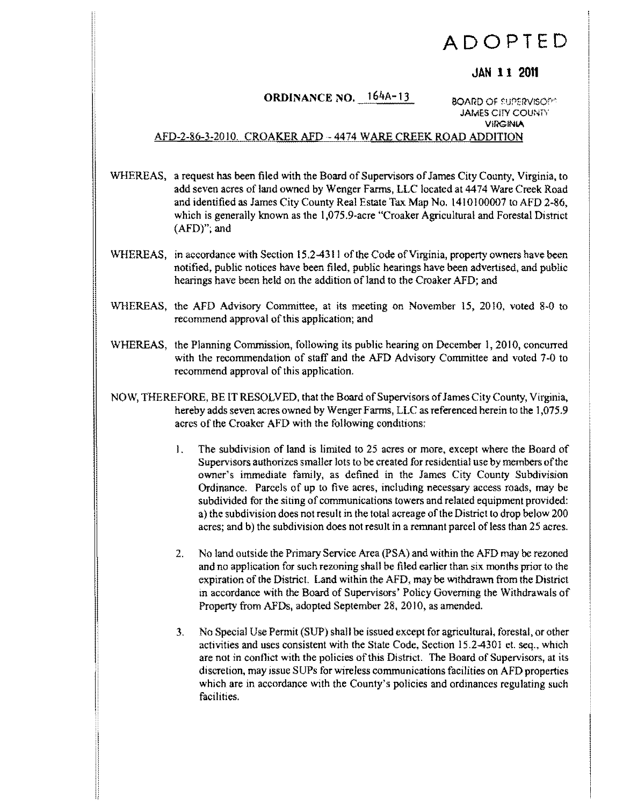## **ADOPTED**

## **JAN 11 2011**

## **ORDINANCE NO.**  $164A-13$  BOARD OF SUPERVISORS

**JAMES CITY COUNTY VIRGINIA** 

## AFD-2-86-3-20 10. CROAKER AFD- 4474 WARE CREEK ROAD ADDITION

- WHEREAS, a request has been filed with the Board of Supervisors of James City County, Virginia, to add seven acres of land owned by Wenger Farms, LLC located at 44 74 Ware Creek Road and identified as James City County Real Estate Tax Map No. 1410100007 to AFD 2-86, which is generally known as the 1,075.9-acre "Croaker Agricultural and Forestal District (AFD)"; and
- WHEREAS, in accordance with Section 15.2-4311 of the Code of Virginia, property owners have been notified, public notices have been filed, public hearings have been advertised, and public hearings have been held on the addition of land to the Croaker AFD; and
- WHEREAS, the AFD Advisory Committee, at its meeting on November 15, 2010, voted 8-0 to recommend approval of this application; and
- WHEREAS, the Planning Commission, following its public hearing on December 1, 2010, concurred with the recommendation of staff and the AFD Advisory Committee and voted 7-0 to recommend approval of this application.
- NOW, THEREFORE, BE IT RESOLVED, that the Board of Supervisors ofJames City County, Virginia, hereby adds seven acres owned by Wenger Farms, LLC as referenced herein to the 1,075.9 acres of the Croaker AFD with the following conditions:
	- 1. The subdivision of land is limited to 25 acres or more, except where the Board of Supervisors authorizes smaller lots to be created for residential use by members ofthe owner's immediate family, as defined in the James City County Subdivision Ordinance. Parcels of up to five acres, including necessary access roads, may be subdivided for the siting of communications towers and related equipment provided: a) the subdivision does not result in the total acreage ofthe District to drop below 200 acres; and b) the subdivision does not result in a remnant parcel of less than 25 acres.
	- 2. No land outside the Primary Service Area (PSA) and within the AFD may be rezoned and no application for such rezoning shall be filed earlier than six months prior to the expiration of the District. Land within the AFD, may be withdrawn from the District in accordance with the Board of Supervisors' Policy Governing the Withdrawals of Property from AFOs, adopted September 28. 2010, as amended.
	- 3. No Special Use Pennit (SUP) shall be issued except for agricultural, forestal, or other activities and uses consistent with the State Code, Section 15.24301 el. seq., which are not in conflict with the policies of this District. The Board of Supervisors, at its discretion, may issue SUPs for wireless communications facilities on AFD properties which are in accordance with the County's policies and ordinances regulating such facilities.